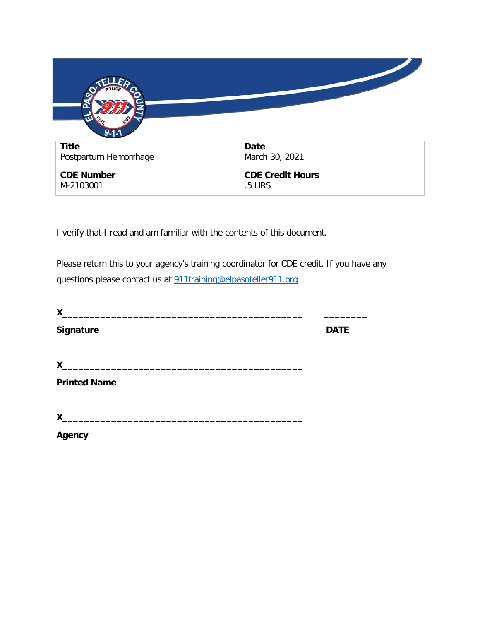| $9 - 1 - 1$                    |                                   |
|--------------------------------|-----------------------------------|
| <b>Title</b>                   | <b>Date</b>                       |
| Postpartum Hemorrhage          | March 30, 2021                    |
| <b>CDE Number</b><br>M-2103001 | <b>CDE Credit Hours</b><br>.5 HRS |

I verify that I read and am familiar with the contents of this document.

Please return this to your agency's training coordinator for CDE credit. If you have any questions please contact us at [911training@elpasoteller911.org](mailto:911training@elpasoteller911.org)

| X                   |             |
|---------------------|-------------|
| Signature           | <b>DATE</b> |
| X                   |             |
| <b>Printed Name</b> |             |
| X                   |             |
| Agency              |             |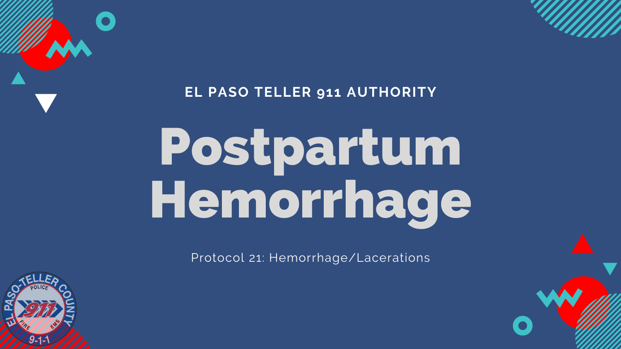#### **EL PASO TELLER 911 AUTHORITY**

# Postpartum Hemorrhage

Protocol 21: Hemorrhage/Lacerations





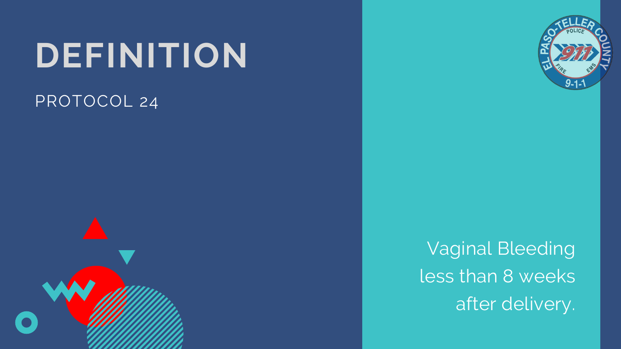# **DEFINITION** PROTOCOL 24





## Vaginal Bleeding less than 8 weeks after delivery.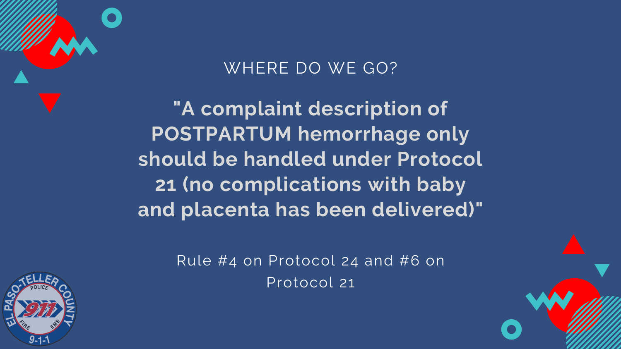**"A complaint description of POSTPARTUM hemorrhage only should be handled under Protocol 21 (no complications with baby and placenta has been delivered)"**

### WHERE DO WE GO?

Rule #4 on Protocol 24 and #6 on Protocol 21



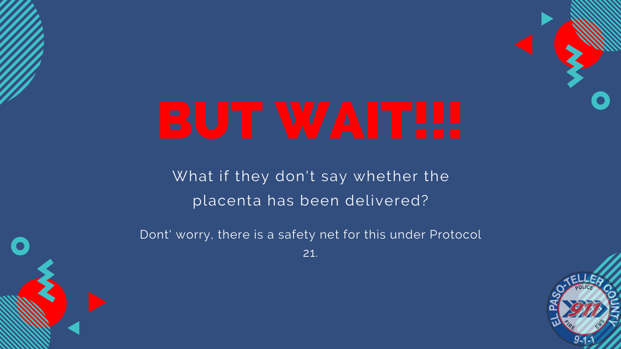What if they don't say whether the placenta has been delivered?

Dont' worry, there is a safety net for this under Protocol 21.





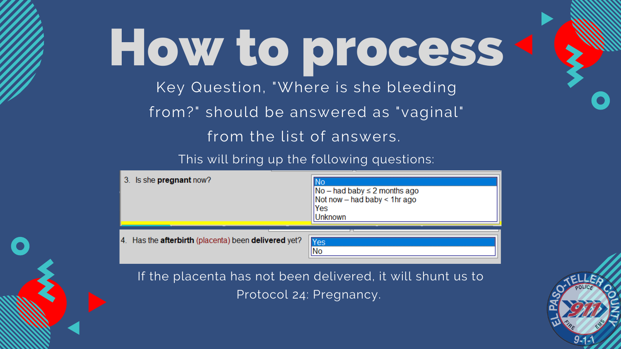# Key Question, "Where is she bleeding from?" should be answered as "vaginal" from the list of answers. This will bring up the following questions: How to process

| 3. Is she <b>pregnant</b> now?                                        | │No – had baby ≤ 2 moi<br>│Not now – had baby <<br>Yes<br>Jnknown |
|-----------------------------------------------------------------------|-------------------------------------------------------------------|
| Has the <b>afterbirth</b> (placenta) been <b>delivered</b> yet?<br>4. | Yes                                                               |

#### If the placenta has not been delivered, it will shunt us to Protocol 24: Pregnancy.



nths ago 1hr ago

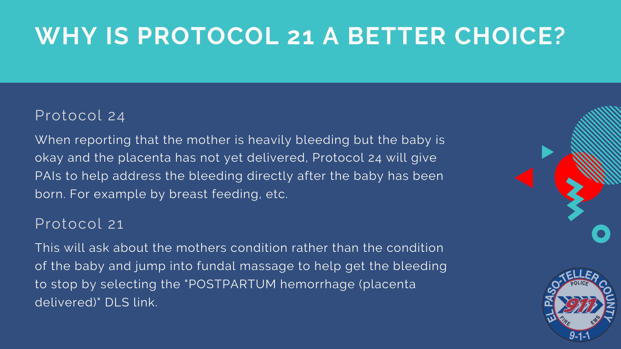# **WHY IS PROTOCOL 21 A BETTER CHOICE?**

#### Protocol 24

When reporting that the mother is heavily bleeding but the baby is okay and the placenta has not yet delivered, Protocol 24 will give PAIs to help address the bleeding directly after the baby has been born. For example by breast feeding, etc.

#### Protocol 21

This will ask about the mothers condition rather than the condition of the baby and jump into fundal massage to help get the bleeding to stop by selecting the "POSTPARTUM hemorrhage (placenta delivered)" DLS link.